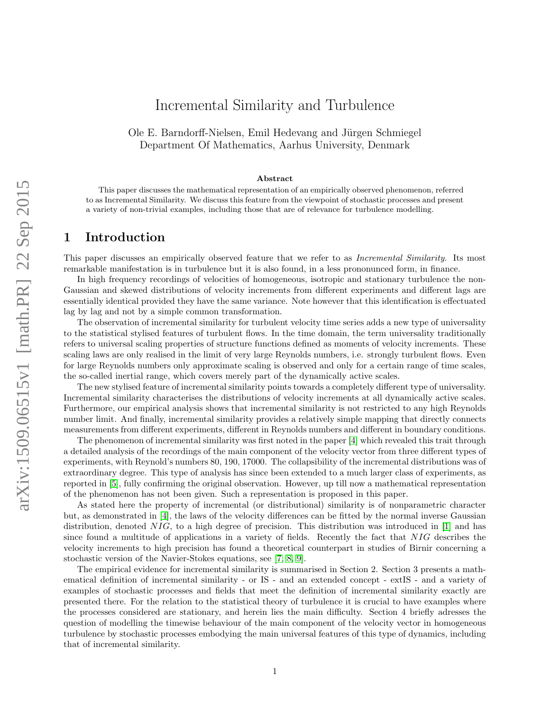# Incremental Similarity and Turbulence

Ole E. Barndorff-Nielsen, Emil Hedevang and Jürgen Schmiegel Department Of Mathematics, Aarhus University, Denmark

#### Abstract

This paper discusses the mathematical representation of an empirically observed phenomenon, referred to as Incremental Similarity. We discuss this feature from the viewpoint of stochastic processes and present a variety of non-trivial examples, including those that are of relevance for turbulence modelling.

### 1 Introduction

This paper discusses an empirically observed feature that we refer to as *Incremental Similarity*. Its most remarkable manifestation is in turbulence but it is also found, in a less prononunced form, in finance.

In high frequency recordings of velocities of homogeneous, isotropic and stationary turbulence the non-Gaussian and skewed distributions of velocity increments from different experiments and different lags are essentially identical provided they have the same variance. Note however that this identification is effectuated lag by lag and not by a simple common transformation.

The observation of incremental similarity for turbulent velocity time series adds a new type of universality to the statistical stylised features of turbulent flows. In the time domain, the term universality traditionally refers to universal scaling properties of structure functions defined as moments of velocity increments. These scaling laws are only realised in the limit of very large Reynolds numbers, i.e. strongly turbulent flows. Even for large Reynolds numbers only approximate scaling is observed and only for a certain range of time scales, the so-called inertial range, which covers merely part of the dynamically active scales.

The new stylised feature of incremental similarity points towards a completely different type of universality. Incremental similarity characterises the distributions of velocity increments at all dynamically active scales. Furthermore, our empirical analysis shows that incremental similarity is not restricted to any high Reynolds number limit. And finally, incremental similarity provides a relatively simple mapping that directly connects measurements from different experiments, different in Reynolds numbers and different in boundary conditions.

The phenomenon of incremental similarity was first noted in the paper [\[4\]](#page-5-0) which revealed this trait through a detailed analysis of the recordings of the main component of the velocity vector from three different types of experiments, with Reynold's numbers 80, 190, 17000. The collapsibility of the incremental distributions was of extraordinary degree. This type of analysis has since been extended to a much larger class of experiments, as reported in [\[5\]](#page-5-1), fully confirming the original observation. However, up till now a mathematical representation of the phenomenon has not been given. Such a representation is proposed in this paper.

As stated here the property of incremental (or distributional) similarity is of nonparametric character but, as demonstrated in [\[4\]](#page-5-0), the laws of the velocity differences can be fitted by the normal inverse Gaussian distribution, denoted  $NIG$ , to a high degree of precision. This distribution was introduced in [\[1\]](#page-5-2) and has since found a multitude of applications in a variety of fields. Recently the fact that NIG describes the velocity increments to high precision has found a theoretical counterpart in studies of Birnir concerning a stochastic version of the Navier-Stokes equations, see [\[7,](#page-5-3) [8,](#page-5-4) [9\]](#page-5-5).

The empirical evidence for incremental similarity is summarised in Section 2. Section 3 presents a mathematical definition of incremental similarity - or IS - and an extended concept - extIS - and a variety of examples of stochastic processes and fields that meet the definition of incremental similarity exactly are presented there. For the relation to the statistical theory of turbulence it is crucial to have examples where the processes considered are stationary, and herein lies the main difficulty. Section 4 briefly adresses the question of modelling the timewise behaviour of the main component of the velocity vector in homogeneous turbulence by stochastic processes embodying the main universal features of this type of dynamics, including that of incremental similarity.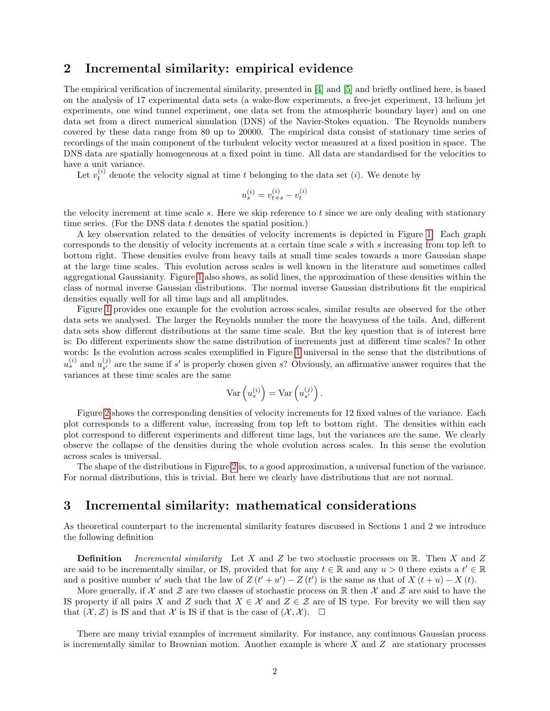## 2 Incremental similarity: empirical evidence

The empirical verification of incremental similarity, presented in [\[4\]](#page-5-0) and [\[5\]](#page-5-1) and briefly outlined here, is based on the analysis of 17 experimental data sets (a wake-flow experiments, a free-jet experiment, 13 helium jet experiments, one wind tunnel experiment, one data set from the atmospheric boundary layer) and on one data set from a direct numerical simulation (DNS) of the Navier-Stokes equation. The Reynolds numbers covered by these data range from 80 up to 20000. The empirical data consist of stationary time series of recordings of the main component of the turbulent velocity vector measured at a fixed position in space. The DNS data are spatially homogeneous at a fixed point in time. All data are standardised for the velocities to have a unit variance.

Let  $v_t^{(i)}$  denote the velocity signal at time t belonging to the data set (i). We denote by

$$
u_s^{(i)} = v_{t+s}^{(i)} - v_t^{(i)}
$$

the velocity increment at time scale s. Here we skip reference to  $t$  since we are only dealing with stationary time series. (For the DNS data t denotes the spatial position.)

A key observation related to the densities of velocity increments is depicted in Figure [1.](#page-6-0) Each graph corresponds to the densitiy of velocity increments at a certain time scale s with s increasing from top left to bottom right. These densities evolve from heavy tails at small time scales towards a more Gaussian shape at the large time scales. This evolution across scales is well known in the literature and sometimes called aggregational Gaussianity. Figure [1](#page-6-0) also shows, as solid lines, the approximation of these densities within the class of normal inverse Gaussian distributions. The normal inverse Gaussian distributions fit the empirical densities equally well for all time lags and all amplitudes.

Figure [1](#page-6-0) provides one example for the evolution across scales, similar results are observed for the other data sets we analysed. The larger the Reynolds number the more the heavyness of the tails. And, different data sets show different distributions at the same time scale. But the key question that is of interest here is: Do different experiments show the same distribution of increments just at different time scales? In other words: Is the evolution across scales exemplified in Figure [1](#page-6-0) universal in the sense that the distributions of  $u_s^{(i)}$  and  $u_{s'}^{(j)}$  $s^{(j)}_{s'}$  are the same if s' is properly chosen given s? Obviously, an affirmative answer requires that the variances at these time scales are the same

$$
\operatorname{Var}\left(u_s^{(i)}\right) = \operatorname{Var}\left(u_{s'}^{(j)}\right).
$$

Figure [2](#page-7-0) shows the corresponding densities of velocity increments for 12 fixed values of the variance. Each plot corresponds to a different value, increasing from top left to bottom right. The densities within each plot correspond to different experiments and different time lags, but the variances are the same. We clearly observe the collapse of the densities during the whole evolution across scales. In this sense the evolution across scales is universal.

The shape of the distributions in Figure [2](#page-7-0) is, to a good approximation, a universal function of the variance. For normal distributions, this is trivial. But here we clearly have distributions that are not normal.

#### 3 Incremental similarity: mathematical considerations

As theoretical counterpart to the incremental similarity features discussed in Sections 1 and 2 we introduce the following definition

**Definition** Incremental similarity Let X and Z be two stochastic processes on R. Then X and Z are said to be incrementally similar, or IS, provided that for any  $t \in \mathbb{R}$  and any  $u > 0$  there exists a  $t' \in \mathbb{R}$ and a positive number u' such that the law of  $Z(t'+u') - Z(t')$  is the same as that of  $X(t+u) - X(t)$ .

More generally, if X and Z are two classes of stochastic process on R then X and Z are said to have the IS property if all pairs X and Z such that  $X \in \mathcal{X}$  and  $Z \in \mathcal{Z}$  are of IS type. For brevity we will then say that  $(\mathcal{X}, \mathcal{Z})$  is IS and that X is IS if that is the case of  $(\mathcal{X}, \mathcal{X})$ .  $\Box$ 

There are many trivial examples of increment similarity. For instance, any continuous Gaussian process is incrementally similar to Brownian motion. Another example is where  $X$  and  $Z$  are stationary processes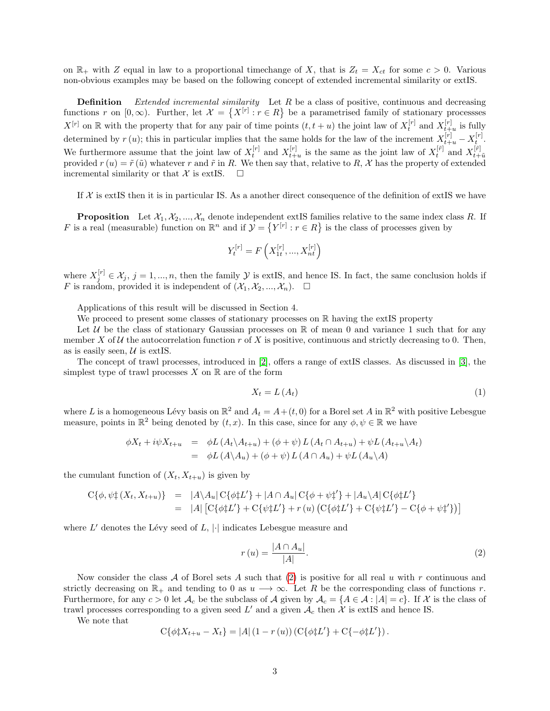on  $\mathbb{R}_+$  with Z equal in law to a proportional timechange of X, that is  $Z_t = X_{ct}$  for some  $c > 0$ . Various non-obvious examples may be based on the following concept of extended incremental similarity or extIS.

**Definition** Extended incremental similarity Let R be a class of positive, continuous and decreasing functions r on  $[0,\infty)$ . Further, let  $\mathcal{X} = \{X^{[r]} : r \in R\}$  be a parametrised family of stationary processses  $X^{[r]}$  on R with the property that for any pair of time points  $(t, t + u)$  the joint law of  $X_t^{[r]}$  and  $X_{t+u}^{[r]}$  is fully determined by  $r(u)$ ; this in particular implies that the same holds for the law of the increment  $X_{t+u}^{[r]} - X_t^{[r]}$ . We furthermore assume that the joint law of  $X_t^{[r]}$  and  $X_{t+u}^{[r]}$  is the same as the joint law of  $X_t^{[r]}$  and  $X_{t+u}^{[r]}$ provided  $r(u) = \tilde{r}(\tilde{u})$  whatever r and  $\tilde{r}$  in R. We then say that, relative to R, X has the property of extended  $r(u)$ incremental similarity or that  $\mathcal X$  is extIS.  $\Box$ 

If  $X$  is extIS then it is in particular IS. As a another direct consequence of the definition of extIS we have

**Proposition** Let  $X_1, X_2, ..., X_n$  denote independent extIS families relative to the same index class R. If F is a real (measurable) function on  $\mathbb{R}^n$  and if  $\mathcal{Y} = \{Y^{[r]} : r \in R\}$  is the class of processes given by

$$
Y_{t}^{\left[ r\right] }=F\left( X_{1t}^{\left[ r\right] },...,X_{nt}^{\left[ r\right] }\right)
$$

where  $X_j^{[r]} \in \mathcal{X}_j$ ,  $j = 1, ..., n$ , then the family  $\mathcal Y$  is extIS, and hence IS. In fact, the same conclusion holds if F is random, provided it is independent of  $(\mathcal{X}_1, \mathcal{X}_2, ..., \mathcal{X}_n)$ .  $\Box$ 

Applications of this result will be discussed in Section 4.

We proceed to present some classes of stationary processes on  $\mathbb R$  having the extIS property

Let U be the class of stationary Gaussian processes on  $\mathbb R$  of mean 0 and variance 1 such that for any member X of U the autocorrelation function r of X is positive, continuous and strictly decreasing to 0. Then, as is easily seen,  $\mathcal U$  is extIS.

The concept of trawl processes, introduced in [\[2\]](#page-5-6), offers a range of extIS classes. As discussed in [\[3\]](#page-5-7), the simplest type of trawl processes  $X$  on  $\mathbb R$  are of the form

$$
X_t = L(A_t) \tag{1}
$$

where L is a homogeneous Lévy basis on  $\mathbb{R}^2$  and  $A_t = A + (t, 0)$  for a Borel set A in  $\mathbb{R}^2$  with positive Lebesgue measure, points in  $\mathbb{R}^2$  being denoted by  $(t, x)$ . In this case, since for any  $\phi, \psi \in \mathbb{R}$  we have

$$
\begin{array}{rcl}\n\phi X_t + i\psi X_{t+u} & = & \phi L\left(A_t \backslash A_{t+u}\right) + \left(\phi + \psi\right) L\left(A_t \cap A_{t+u}\right) + \psi L\left(A_{t+u} \backslash A_t\right) \\
& = & \phi L\left(A \backslash A_u\right) + \left(\phi + \psi\right) L\left(A \cap A_u\right) + \psi L\left(A_u \backslash A\right)\n\end{array}
$$

the cumulant function of  $(X_t, X_{t+u})$  is given by

$$
C\{\phi, \psi_{\tau}(X_t, X_{t+u})\} = |A \setminus A_u| C\{\phi_{\tau}L'\} + |A \cap A_u| C\{\phi + \psi_{\tau}^{\star}\} + |A_u \setminus A| C\{\phi_{\tau}L'\}
$$
  
= |A|  $[C\{\phi_{\tau}^{\star}L'\} + C\{\psi_{\tau}^{\star}L'\} + r(u) (C\{\phi_{\tau}^{\star}L'\} + C\{\psi_{\tau}^{\star}L'\} - C\{\phi + \psi_{\tau}^{\star}\})]$ 

where  $L'$  denotes the Lévy seed of  $L$ ,  $|\cdot|$  indicates Lebesgue measure and

<span id="page-2-0"></span>
$$
r(u) = \frac{|A \cap A_u|}{|A|}.\tag{2}
$$

Now consider the class A of Borel sets A such that  $(2)$  is positive for all real u with r continuous and strictly decreasing on  $\mathbb{R}_+$  and tending to 0 as  $u \to \infty$ . Let R be the corresponding class of functions r. Furthermore, for any  $c > 0$  let  $\mathcal{A}_c$  be the subclass of  $\mathcal{A}$  given by  $\mathcal{A}_c = \{A \in \mathcal{A} : |A| = c\}$ . If X is the class of trawl processes corresponding to a given seed  $L'$  and a given  $\mathcal{A}_c$  then X is extIS and hence IS.

We note that

$$
C\{\phi\ddagger X_{t+u} - X_t\} = |A| (1 - r(u)) (C\{\phi\ddagger L'\} + C\{-\phi\ddagger L'\}).
$$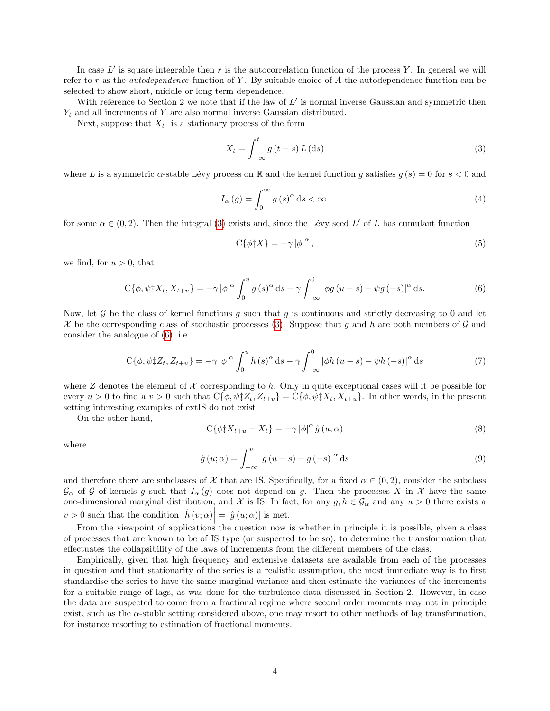In case  $L'$  is square integrable then r is the autocorrelation function of the process Y. In general we will refer to r as the *autodependence* function of Y. By suitable choice of A the autodependence function can be selected to show short, middle or long term dependence.

With reference to Section 2 we note that if the law of  $L'$  is normal inverse Gaussian and symmetric then  $Y_t$  and all increments of Y are also normal inverse Gaussian distributed.

Next, suppose that  $X_t$  is a stationary process of the form

<span id="page-3-0"></span>
$$
X_t = \int_{-\infty}^t g\left(t - s\right) L\left(\mathrm{d}s\right) \tag{3}
$$

where L is a symmetric  $\alpha$ -stable Lévy process on R and the kernel function g satisfies  $g(s) = 0$  for  $s < 0$  and

$$
I_{\alpha}(g) = \int_0^{\infty} g(s)^{\alpha} ds < \infty.
$$
 (4)

for some  $\alpha \in (0, 2)$ . Then the integral [\(3\)](#page-3-0) exists and, since the Lévy seed L' of L has cumulant function

$$
C\{\phi \ddagger X\} = -\gamma |\phi|^{\alpha},\tag{5}
$$

we find, for  $u > 0$ , that

<span id="page-3-1"></span>
$$
C\{\phi, \psi \ddagger X_t, X_{t+u}\} = -\gamma |\phi|^\alpha \int_0^u g(s)^\alpha ds - \gamma \int_{-\infty}^0 |\phi g(u-s) - \psi g(-s)|^\alpha ds. \tag{6}
$$

Now, let G be the class of kernel functions g such that g is continuous and strictly decreasing to 0 and let X be the corresponding class of stochastic processes [\(3\)](#page-3-0). Suppose that q and h are both members of  $\mathcal G$  and consider the analogue of [\(6\)](#page-3-1), i.e.

$$
C\{\phi, \psi \sharp Z_t, Z_{t+u}\} = -\gamma |\phi|^\alpha \int_0^u h(s)^\alpha ds - \gamma \int_{-\infty}^0 |\phi h(u-s) - \psi h(-s)|^\alpha ds \tag{7}
$$

where Z denotes the element of X corresponding to h. Only in quite exceptional cases will it be possible for every  $u > 0$  to find a  $v > 0$  such that  $C\{\phi, \psi \sharp Z_t, Z_{t+v}\} = C\{\phi, \psi \sharp X_t, X_{t+u}\}.$  In other words, in the present setting interesting examples of extIS do not exist.

On the other hand,

$$
C\{\phi \ddagger X_{t+u} - X_t\} = -\gamma |\phi|^\alpha \hat{g}(u; \alpha)
$$
\n(8)

where

$$
\hat{g}(u;\alpha) = \int_{-\infty}^{u} |g(u-s) - g(-s)|^{\alpha} ds \tag{9}
$$

and therefore there are subclasses of X that are IS. Specifically, for a fixed  $\alpha \in (0, 2)$ , consider the subclass  $\mathcal{G}_{\alpha}$  of G of kernels g such that  $I_{\alpha}(g)$  does not depend on g. Then the processes X in X have the same one-dimensional marginal distribution, and X is IS. In fact, for any  $g, h \in \mathcal{G}_\alpha$  and any  $u > 0$  there exists a  $v > 0$  such that the condition  $\left| \hat{h} (v; \alpha) \right| = \left| \hat{g} (u; \alpha) \right|$  is met.

From the viewpoint of applications the question now is whether in principle it is possible, given a class of processes that are known to be of IS type (or suspected to be so), to determine the transformation that effectuates the collapsibility of the laws of increments from the different members of the class.

Empirically, given that high frequency and extensive datasets are available from each of the processes in question and that stationarity of the series is a realistic assumption, the most immediate way is to first standardise the series to have the same marginal variance and then estimate the variances of the increments for a suitable range of lags, as was done for the turbulence data discussed in Section 2. However, in case the data are suspected to come from a fractional regime where second order moments may not in principle exist, such as the α-stable setting considered above, one may resort to other methods of lag transformation, for instance resorting to estimation of fractional moments.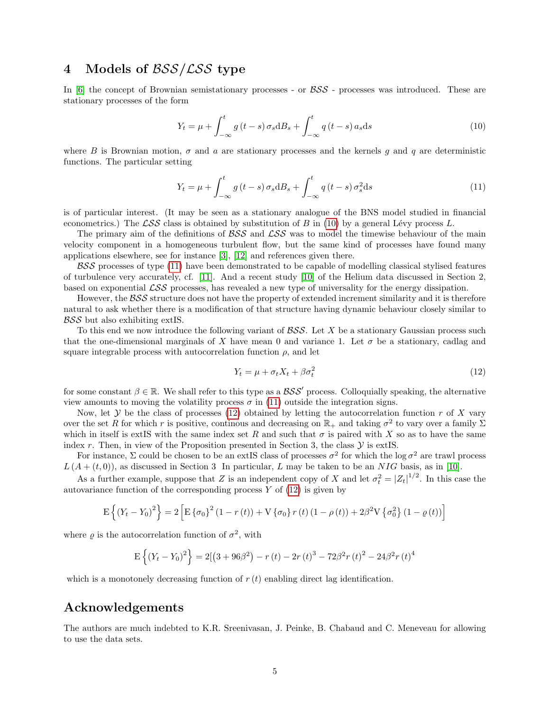## 4 Models of  $BSS/LSS$  type

In  $[6]$  the concept of Brownian semistationary processes - or  $BSS$  - processes was introduced. These are stationary processes of the form

<span id="page-4-0"></span>
$$
Y_t = \mu + \int_{-\infty}^t g(t-s) \sigma_s \mathrm{d}B_s + \int_{-\infty}^t q(t-s) a_s \mathrm{d}s \tag{10}
$$

where B is Brownian motion,  $\sigma$  and a are stationary processes and the kernels q and q are deterministic functions. The particular setting

<span id="page-4-1"></span>
$$
Y_t = \mu + \int_{-\infty}^t g(t-s) \sigma_s \mathrm{d}B_s + \int_{-\infty}^t q(t-s) \sigma_s^2 \mathrm{d}s \tag{11}
$$

is of particular interest. (It may be seen as a stationary analogue of the BNS model studied in financial econometrics.) The  $\mathcal{LSS}$  class is obtained by substitution of B in [\(10\)](#page-4-0) by a general Lévy process L.

The primary aim of the definitions of  $BSS$  and  $LSS$  was to model the timewise behaviour of the main velocity component in a homogeneous turbulent flow, but the same kind of processes have found many applications elsewhere, see for instance [\[3\]](#page-5-7), [\[12\]](#page-5-9) and references given there.

 $BSS$  processes of type  $(11)$  have been demonstrated to be capable of modelling classical stylised features of turbulence very accurately, cf. [\[11\]](#page-5-10). And a recent study [\[10\]](#page-5-11) of the Helium data discussed in Section 2, based on exponential  $\mathcal{LSS}$  processes, has revealed a new type of universality for the energy dissipation.

However, the  $BSS$  structure does not have the property of extended increment similarity and it is therefore natural to ask whether there is a modification of that structure having dynamic behaviour closely similar to BSS but also exhibiting extIS.

To this end we now introduce the following variant of  $\mathcal{B}\mathcal{S}\mathcal{S}$ . Let X be a stationary Gaussian process such that the one-dimensional marginals of X have mean 0 and variance 1. Let  $\sigma$  be a stationary, cadlag and square integrable process with autocorrelation function  $\rho$ , and let

<span id="page-4-2"></span>
$$
Y_t = \mu + \sigma_t X_t + \beta \sigma_t^2 \tag{12}
$$

for some constant  $\beta \in \mathbb{R}$ . We shall refer to this type as a  $BSS'$  process. Colloquially speaking, the alternative view amounts to moving the volatility process  $\sigma$  in [\(11\)](#page-4-1) outside the integration signs.

Now, let  $\mathcal Y$  be the class of processes [\(12\)](#page-4-2) obtained by letting the autocorrelation function r of X vary over the set R for which r is positive, continous and decreasing on  $\mathbb{R}_+$  and taking  $\sigma^2$  to vary over a family  $\Sigma$ which in itself is extIS with the same index set R and such that  $\sigma$  is paired with X so as to have the same index r. Then, in view of the Proposition presented in Section 3, the class  $\mathcal Y$  is extIS.

For instance,  $\Sigma$  could be chosen to be an extIS class of processes  $\sigma^2$  for which the log  $\sigma^2$  are trawl process  $L(A+(t,0))$ , as discussed in Section 3 In particular, L may be taken to be an NIG basis, as in [\[10\]](#page-5-11).

As a further example, suppose that Z is an independent copy of X and let  $\sigma_t^2 = |Z_t|^{1/2}$ . In this case the autovariance function of the corresponding process  $Y$  of  $(12)$  is given by

$$
E\left\{(Y_t - Y_0)^2\right\} = 2\left[E\left\{\sigma_0\right\}^2(1 - r(t)) + V\left\{\sigma_0\right\}r(t)(1 - \rho(t)) + 2\beta^2V\left\{\sigma_0^2\right\}(1 - \varrho(t))\right]
$$

where  $\rho$  is the autocorrelation function of  $\sigma^2$ , with

$$
E\left\{(Y_t - Y_0)^2\right\} = 2\left[\left(3 + 96\beta^2\right) - r\left(t\right) - 2r\left(t\right)^3 - 72\beta^2 r\left(t\right)^2 - 24\beta^2 r\left(t\right)^4\right]
$$

which is a monotonely decreasing function of  $r(t)$  enabling direct lag identification.

## Acknowledgements

The authors are much indebted to K.R. Sreenivasan, J. Peinke, B. Chabaud and C. Meneveau for allowing to use the data sets.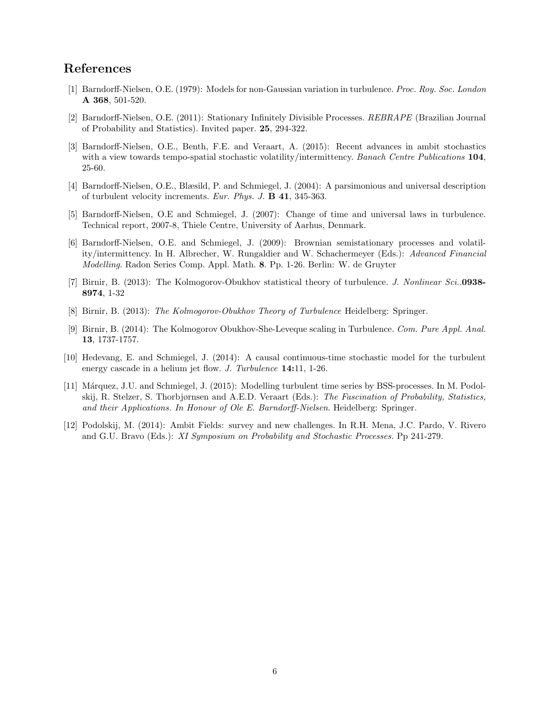## References

- <span id="page-5-2"></span>[1] Barndorff-Nielsen, O.E. (1979): Models for non-Gaussian variation in turbulence. Proc. Roy. Soc. London A 368, 501-520.
- <span id="page-5-6"></span>[2] Barndorff-Nielsen, O.E. (2011): Stationary Infinitely Divisible Processes. REBRAPE (Brazilian Journal of Probability and Statistics). Invited paper. 25, 294-322.
- <span id="page-5-7"></span>[3] Barndorff-Nielsen, O.E., Benth, F.E. and Veraart, A. (2015): Recent advances in ambit stochastics with a view towards tempo-spatial stochastic volatility/intermittency. Banach Centre Publications 104, 25-60.
- <span id="page-5-0"></span>[4] Barndorff-Nielsen, O.E., Blæsild, P. and Schmiegel, J. (2004): A parsimonious and universal description of turbulent velocity increments. Eur. Phys. J.  $\bf{B}$  **41**, 345-363.
- <span id="page-5-1"></span>[5] Barndorff-Nielsen, O.E and Schmiegel, J. (2007): Change of time and universal laws in turbulence. Technical report, 2007-8, Thiele Centre, University of Aarhus, Denmark.
- <span id="page-5-8"></span>[6] Barndorff-Nielsen, O.E. and Schmiegel, J. (2009): Brownian semistationary processes and volatility/intermittency. In H. Albrecher, W. Rungaldier and W. Schachermeyer (Eds.): Advanced Financial Modelling. Radon Series Comp. Appl. Math. 8. Pp. 1-26. Berlin: W. de Gruyter
- <span id="page-5-3"></span>[7] Birnir, B. (2013): The Kolmogorov-Obukhov statistical theory of turbulence. J. Nonlinear Sci..0938-8974, 1-32
- <span id="page-5-4"></span>[8] Birnir, B. (2013): The Kolmogorov-Obukhov Theory of Turbulence Heidelberg: Springer.
- <span id="page-5-5"></span>[9] Birnir, B. (2014): The Kolmogorov Obukhov-She-Leveque scaling in Turbulence. Com. Pure Appl. Anal. 13, 1737-1757.
- <span id="page-5-11"></span>[10] Hedevang, E. and Schmiegel, J. (2014): A causal continuous-time stochastic model for the turbulent energy cascade in a helium jet flow. J. Turbulence 14:11, 1-26.
- <span id="page-5-10"></span>[11] Márquez, J.U. and Schmiegel, J. (2015): Modelling turbulent time series by BSS-processes. In M. Podolskij, R. Stelzer, S. Thorbjørnsen and A.E.D. Veraart (Eds.): The Fascination of Probability, Statistics, and their Applications. In Honour of Ole E. Barndorff-Nielsen. Heidelberg: Springer.
- <span id="page-5-9"></span>[12] Podolskij, M. (2014): Ambit Fields: survey and new challenges. In R.H. Mena, J.C. Pardo, V. Rivero and G.U. Bravo (Eds.): XI Symposium on Probability and Stochastic Processes. Pp 241-279.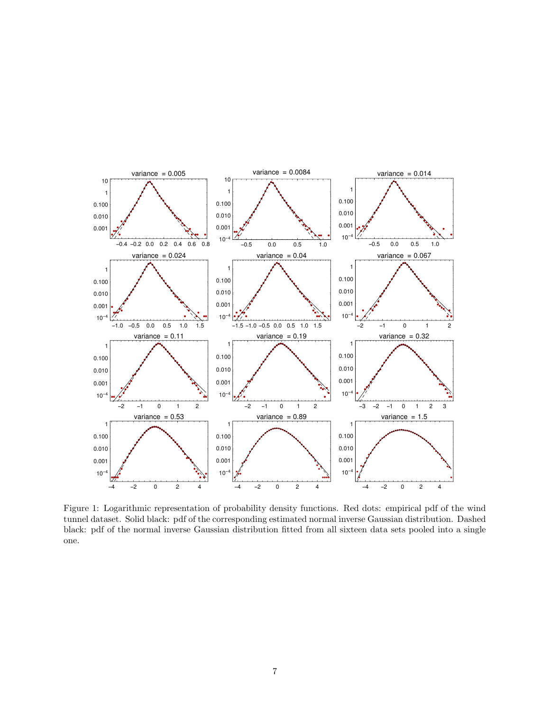

<span id="page-6-0"></span>Figure 1: Logarithmic representation of probability density functions. Red dots: empirical pdf of the wind tunnel dataset. Solid black: pdf of the corresponding estimated normal inverse Gaussian distribution. Dashed black: pdf of the normal inverse Gaussian distribution fitted from all sixteen data sets pooled into a single one.